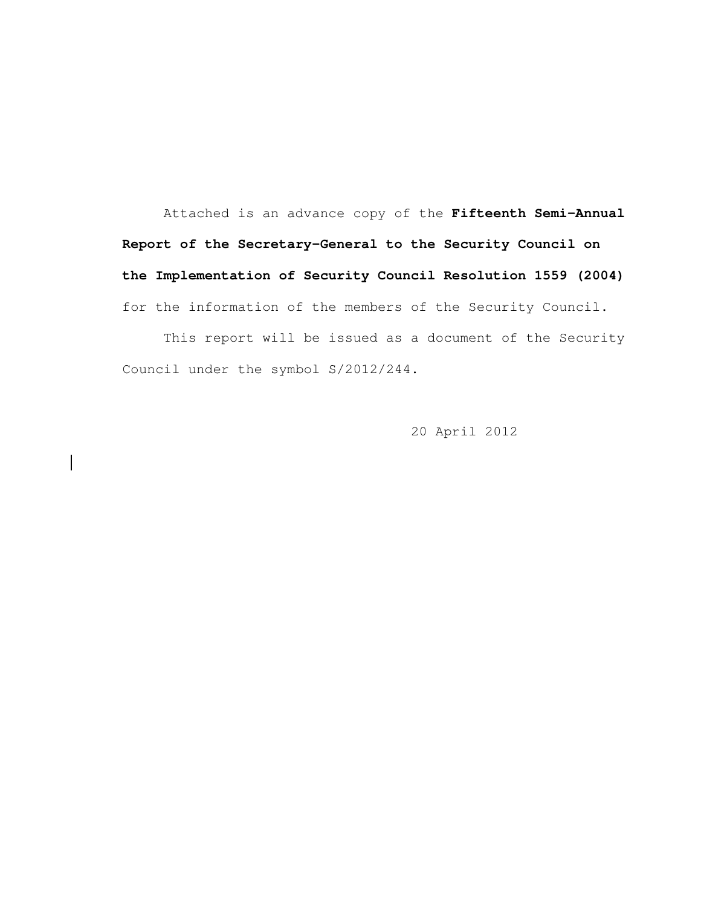Attached is an advance copy of the **Fifteenth Semi-Annual Report of the Secretary-General to the Security Council on the Implementation of Security Council Resolution 1559 (2004)**  for the information of the members of the Security Council.

 This report will be issued as a document of the Security Council under the symbol S/2012/244.

20 April 2012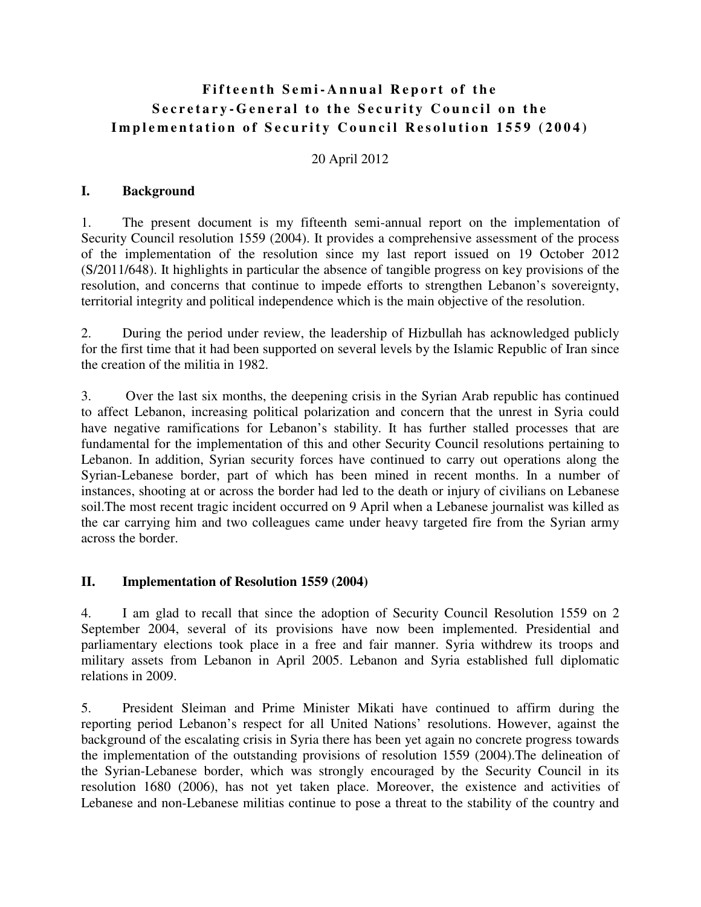# **Fifteenth Semi-Annual Report of the Secretary-General to the Security Council on the Implementation of Security Council Resolution 1559 (2004)**

20 April 2012

#### **I. Background**

1. The present document is my fifteenth semi-annual report on the implementation of Security Council resolution 1559 (2004). It provides a comprehensive assessment of the process of the implementation of the resolution since my last report issued on 19 October 2012 (S/2011/648). It highlights in particular the absence of tangible progress on key provisions of the resolution, and concerns that continue to impede efforts to strengthen Lebanon's sovereignty, territorial integrity and political independence which is the main objective of the resolution.

2. During the period under review, the leadership of Hizbullah has acknowledged publicly for the first time that it had been supported on several levels by the Islamic Republic of Iran since the creation of the militia in 1982.

3. Over the last six months, the deepening crisis in the Syrian Arab republic has continued to affect Lebanon, increasing political polarization and concern that the unrest in Syria could have negative ramifications for Lebanon's stability. It has further stalled processes that are fundamental for the implementation of this and other Security Council resolutions pertaining to Lebanon. In addition, Syrian security forces have continued to carry out operations along the Syrian-Lebanese border, part of which has been mined in recent months. In a number of instances, shooting at or across the border had led to the death or injury of civilians on Lebanese soil.The most recent tragic incident occurred on 9 April when a Lebanese journalist was killed as the car carrying him and two colleagues came under heavy targeted fire from the Syrian army across the border.

#### **II. Implementation of Resolution 1559 (2004)**

4. I am glad to recall that since the adoption of Security Council Resolution 1559 on 2 September 2004, several of its provisions have now been implemented. Presidential and parliamentary elections took place in a free and fair manner. Syria withdrew its troops and military assets from Lebanon in April 2005. Lebanon and Syria established full diplomatic relations in 2009.

5. President Sleiman and Prime Minister Mikati have continued to affirm during the reporting period Lebanon's respect for all United Nations' resolutions. However, against the background of the escalating crisis in Syria there has been yet again no concrete progress towards the implementation of the outstanding provisions of resolution 1559 (2004).The delineation of the Syrian-Lebanese border, which was strongly encouraged by the Security Council in its resolution 1680 (2006), has not yet taken place. Moreover, the existence and activities of Lebanese and non-Lebanese militias continue to pose a threat to the stability of the country and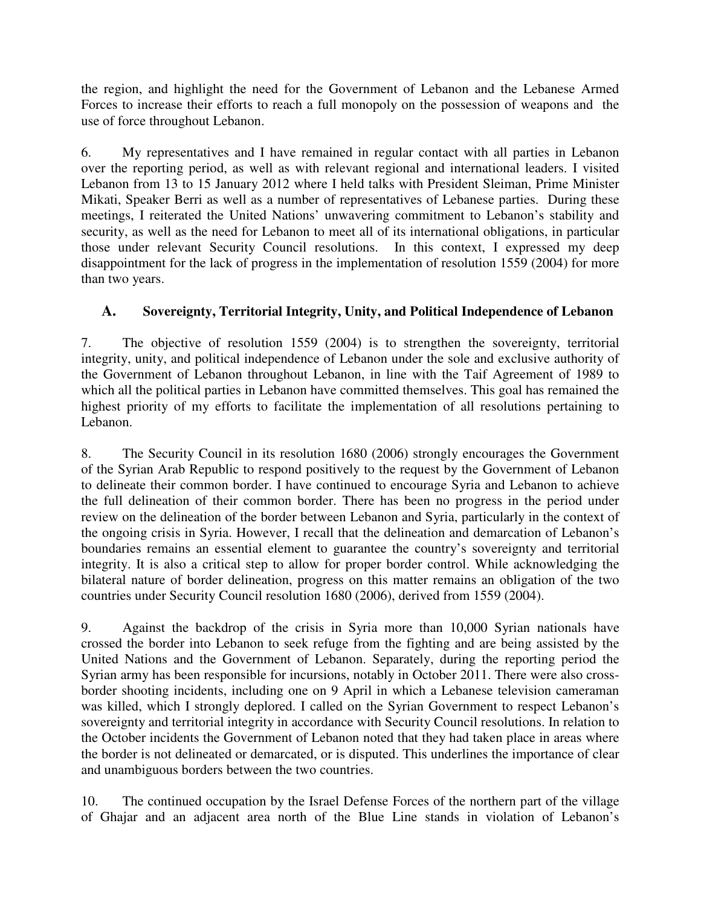the region, and highlight the need for the Government of Lebanon and the Lebanese Armed Forces to increase their efforts to reach a full monopoly on the possession of weapons and the use of force throughout Lebanon.

6. My representatives and I have remained in regular contact with all parties in Lebanon over the reporting period, as well as with relevant regional and international leaders. I visited Lebanon from 13 to 15 January 2012 where I held talks with President Sleiman, Prime Minister Mikati, Speaker Berri as well as a number of representatives of Lebanese parties. During these meetings, I reiterated the United Nations' unwavering commitment to Lebanon's stability and security, as well as the need for Lebanon to meet all of its international obligations, in particular those under relevant Security Council resolutions. In this context, I expressed my deep disappointment for the lack of progress in the implementation of resolution 1559 (2004) for more than two years.

## **A. Sovereignty, Territorial Integrity, Unity, and Political Independence of Lebanon**

7. The objective of resolution 1559 (2004) is to strengthen the sovereignty, territorial integrity, unity, and political independence of Lebanon under the sole and exclusive authority of the Government of Lebanon throughout Lebanon, in line with the Taif Agreement of 1989 to which all the political parties in Lebanon have committed themselves. This goal has remained the highest priority of my efforts to facilitate the implementation of all resolutions pertaining to Lebanon.

8. The Security Council in its resolution 1680 (2006) strongly encourages the Government of the Syrian Arab Republic to respond positively to the request by the Government of Lebanon to delineate their common border. I have continued to encourage Syria and Lebanon to achieve the full delineation of their common border. There has been no progress in the period under review on the delineation of the border between Lebanon and Syria, particularly in the context of the ongoing crisis in Syria. However, I recall that the delineation and demarcation of Lebanon's boundaries remains an essential element to guarantee the country's sovereignty and territorial integrity. It is also a critical step to allow for proper border control. While acknowledging the bilateral nature of border delineation, progress on this matter remains an obligation of the two countries under Security Council resolution 1680 (2006), derived from 1559 (2004).

9. Against the backdrop of the crisis in Syria more than 10,000 Syrian nationals have crossed the border into Lebanon to seek refuge from the fighting and are being assisted by the United Nations and the Government of Lebanon. Separately, during the reporting period the Syrian army has been responsible for incursions, notably in October 2011. There were also crossborder shooting incidents, including one on 9 April in which a Lebanese television cameraman was killed, which I strongly deplored. I called on the Syrian Government to respect Lebanon's sovereignty and territorial integrity in accordance with Security Council resolutions. In relation to the October incidents the Government of Lebanon noted that they had taken place in areas where the border is not delineated or demarcated, or is disputed. This underlines the importance of clear and unambiguous borders between the two countries.

10. The continued occupation by the Israel Defense Forces of the northern part of the village of Ghajar and an adjacent area north of the Blue Line stands in violation of Lebanon's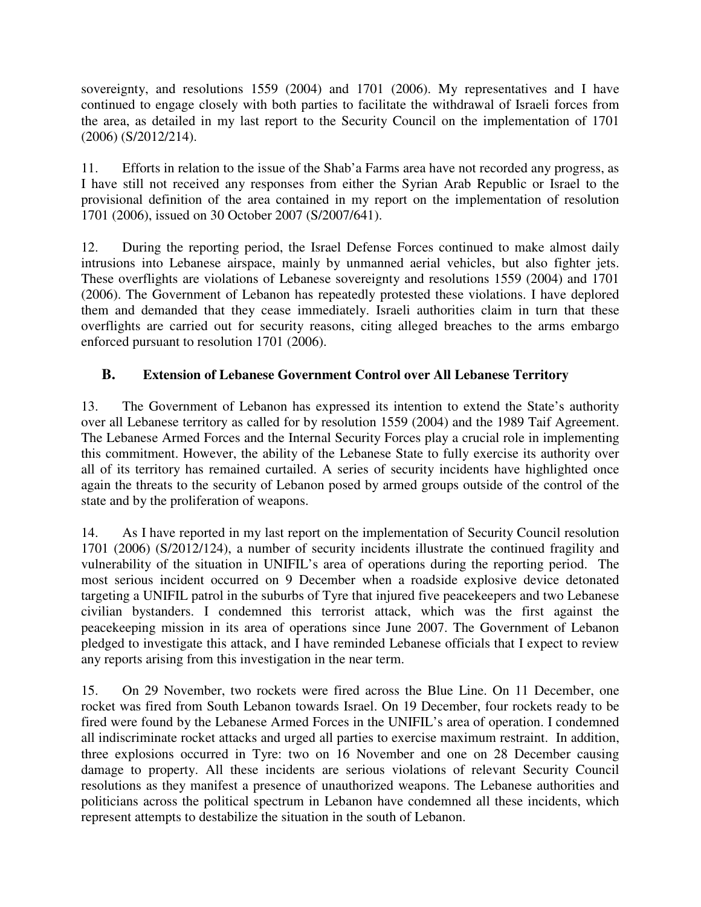sovereignty, and resolutions 1559 (2004) and 1701 (2006). My representatives and I have continued to engage closely with both parties to facilitate the withdrawal of Israeli forces from the area, as detailed in my last report to the Security Council on the implementation of 1701 (2006) (S/2012/214).

11. Efforts in relation to the issue of the Shab'a Farms area have not recorded any progress, as I have still not received any responses from either the Syrian Arab Republic or Israel to the provisional definition of the area contained in my report on the implementation of resolution 1701 (2006), issued on 30 October 2007 (S/2007/641).

12. During the reporting period, the Israel Defense Forces continued to make almost daily intrusions into Lebanese airspace, mainly by unmanned aerial vehicles, but also fighter jets. These overflights are violations of Lebanese sovereignty and resolutions 1559 (2004) and 1701 (2006). The Government of Lebanon has repeatedly protested these violations. I have deplored them and demanded that they cease immediately. Israeli authorities claim in turn that these overflights are carried out for security reasons, citing alleged breaches to the arms embargo enforced pursuant to resolution 1701 (2006).

## **B. Extension of Lebanese Government Control over All Lebanese Territory**

13. The Government of Lebanon has expressed its intention to extend the State's authority over all Lebanese territory as called for by resolution 1559 (2004) and the 1989 Taif Agreement. The Lebanese Armed Forces and the Internal Security Forces play a crucial role in implementing this commitment. However, the ability of the Lebanese State to fully exercise its authority over all of its territory has remained curtailed. A series of security incidents have highlighted once again the threats to the security of Lebanon posed by armed groups outside of the control of the state and by the proliferation of weapons.

14. As I have reported in my last report on the implementation of Security Council resolution 1701 (2006) (S/2012/124), a number of security incidents illustrate the continued fragility and vulnerability of the situation in UNIFIL's area of operations during the reporting period. The most serious incident occurred on 9 December when a roadside explosive device detonated targeting a UNIFIL patrol in the suburbs of Tyre that injured five peacekeepers and two Lebanese civilian bystanders. I condemned this terrorist attack, which was the first against the peacekeeping mission in its area of operations since June 2007. The Government of Lebanon pledged to investigate this attack, and I have reminded Lebanese officials that I expect to review any reports arising from this investigation in the near term.

15. On 29 November, two rockets were fired across the Blue Line. On 11 December, one rocket was fired from South Lebanon towards Israel. On 19 December, four rockets ready to be fired were found by the Lebanese Armed Forces in the UNIFIL's area of operation. I condemned all indiscriminate rocket attacks and urged all parties to exercise maximum restraint. In addition, three explosions occurred in Tyre: two on 16 November and one on 28 December causing damage to property. All these incidents are serious violations of relevant Security Council resolutions as they manifest a presence of unauthorized weapons. The Lebanese authorities and politicians across the political spectrum in Lebanon have condemned all these incidents, which represent attempts to destabilize the situation in the south of Lebanon.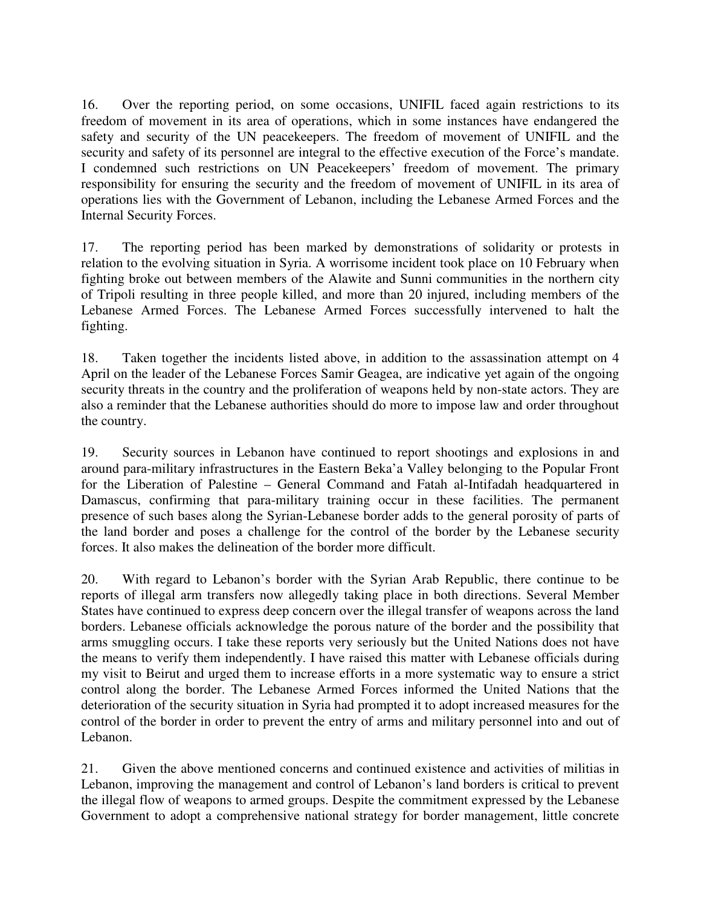16. Over the reporting period, on some occasions, UNIFIL faced again restrictions to its freedom of movement in its area of operations, which in some instances have endangered the safety and security of the UN peacekeepers. The freedom of movement of UNIFIL and the security and safety of its personnel are integral to the effective execution of the Force's mandate. I condemned such restrictions on UN Peacekeepers' freedom of movement. The primary responsibility for ensuring the security and the freedom of movement of UNIFIL in its area of operations lies with the Government of Lebanon, including the Lebanese Armed Forces and the Internal Security Forces.

17. The reporting period has been marked by demonstrations of solidarity or protests in relation to the evolving situation in Syria. A worrisome incident took place on 10 February when fighting broke out between members of the Alawite and Sunni communities in the northern city of Tripoli resulting in three people killed, and more than 20 injured, including members of the Lebanese Armed Forces. The Lebanese Armed Forces successfully intervened to halt the fighting.

18. Taken together the incidents listed above, in addition to the assassination attempt on 4 April on the leader of the Lebanese Forces Samir Geagea, are indicative yet again of the ongoing security threats in the country and the proliferation of weapons held by non-state actors. They are also a reminder that the Lebanese authorities should do more to impose law and order throughout the country.

19. Security sources in Lebanon have continued to report shootings and explosions in and around para-military infrastructures in the Eastern Beka'a Valley belonging to the Popular Front for the Liberation of Palestine – General Command and Fatah al-Intifadah headquartered in Damascus, confirming that para-military training occur in these facilities. The permanent presence of such bases along the Syrian-Lebanese border adds to the general porosity of parts of the land border and poses a challenge for the control of the border by the Lebanese security forces. It also makes the delineation of the border more difficult.

20. With regard to Lebanon's border with the Syrian Arab Republic, there continue to be reports of illegal arm transfers now allegedly taking place in both directions. Several Member States have continued to express deep concern over the illegal transfer of weapons across the land borders. Lebanese officials acknowledge the porous nature of the border and the possibility that arms smuggling occurs. I take these reports very seriously but the United Nations does not have the means to verify them independently. I have raised this matter with Lebanese officials during my visit to Beirut and urged them to increase efforts in a more systematic way to ensure a strict control along the border. The Lebanese Armed Forces informed the United Nations that the deterioration of the security situation in Syria had prompted it to adopt increased measures for the control of the border in order to prevent the entry of arms and military personnel into and out of Lebanon.

21. Given the above mentioned concerns and continued existence and activities of militias in Lebanon, improving the management and control of Lebanon's land borders is critical to prevent the illegal flow of weapons to armed groups. Despite the commitment expressed by the Lebanese Government to adopt a comprehensive national strategy for border management, little concrete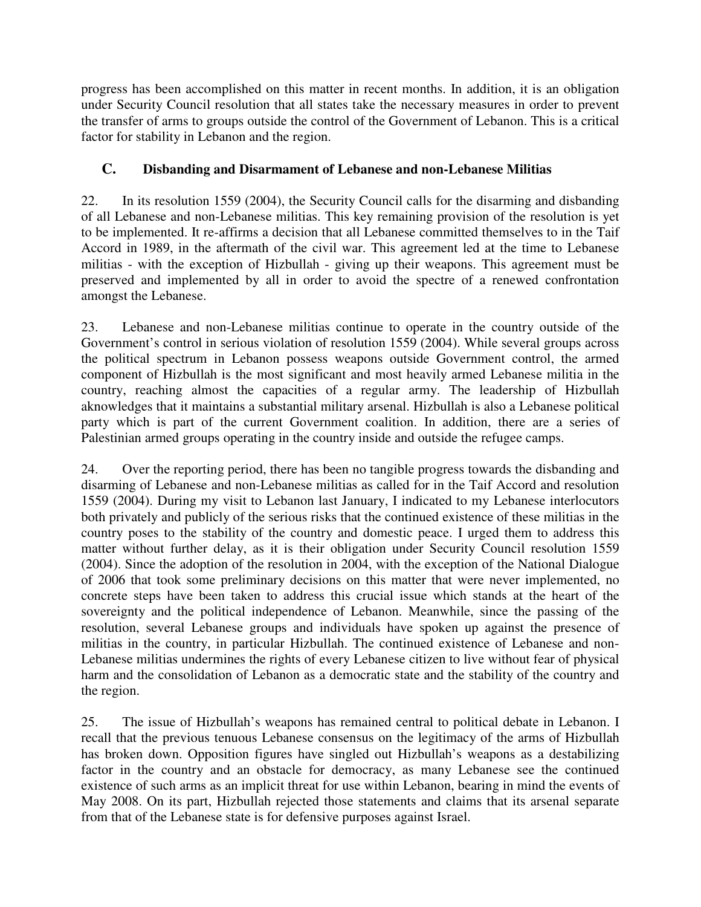progress has been accomplished on this matter in recent months. In addition, it is an obligation under Security Council resolution that all states take the necessary measures in order to prevent the transfer of arms to groups outside the control of the Government of Lebanon. This is a critical factor for stability in Lebanon and the region.

# **C. Disbanding and Disarmament of Lebanese and non-Lebanese Militias**

22. In its resolution 1559 (2004), the Security Council calls for the disarming and disbanding of all Lebanese and non-Lebanese militias. This key remaining provision of the resolution is yet to be implemented. It re-affirms a decision that all Lebanese committed themselves to in the Taif Accord in 1989, in the aftermath of the civil war. This agreement led at the time to Lebanese militias - with the exception of Hizbullah - giving up their weapons. This agreement must be preserved and implemented by all in order to avoid the spectre of a renewed confrontation amongst the Lebanese.

23. Lebanese and non-Lebanese militias continue to operate in the country outside of the Government's control in serious violation of resolution 1559 (2004). While several groups across the political spectrum in Lebanon possess weapons outside Government control, the armed component of Hizbullah is the most significant and most heavily armed Lebanese militia in the country, reaching almost the capacities of a regular army. The leadership of Hizbullah aknowledges that it maintains a substantial military arsenal. Hizbullah is also a Lebanese political party which is part of the current Government coalition. In addition, there are a series of Palestinian armed groups operating in the country inside and outside the refugee camps.

24. Over the reporting period, there has been no tangible progress towards the disbanding and disarming of Lebanese and non-Lebanese militias as called for in the Taif Accord and resolution 1559 (2004). During my visit to Lebanon last January, I indicated to my Lebanese interlocutors both privately and publicly of the serious risks that the continued existence of these militias in the country poses to the stability of the country and domestic peace. I urged them to address this matter without further delay, as it is their obligation under Security Council resolution 1559 (2004). Since the adoption of the resolution in 2004, with the exception of the National Dialogue of 2006 that took some preliminary decisions on this matter that were never implemented, no concrete steps have been taken to address this crucial issue which stands at the heart of the sovereignty and the political independence of Lebanon. Meanwhile, since the passing of the resolution, several Lebanese groups and individuals have spoken up against the presence of militias in the country, in particular Hizbullah. The continued existence of Lebanese and non-Lebanese militias undermines the rights of every Lebanese citizen to live without fear of physical harm and the consolidation of Lebanon as a democratic state and the stability of the country and the region.

25. The issue of Hizbullah's weapons has remained central to political debate in Lebanon. I recall that the previous tenuous Lebanese consensus on the legitimacy of the arms of Hizbullah has broken down. Opposition figures have singled out Hizbullah's weapons as a destabilizing factor in the country and an obstacle for democracy, as many Lebanese see the continued existence of such arms as an implicit threat for use within Lebanon, bearing in mind the events of May 2008. On its part, Hizbullah rejected those statements and claims that its arsenal separate from that of the Lebanese state is for defensive purposes against Israel.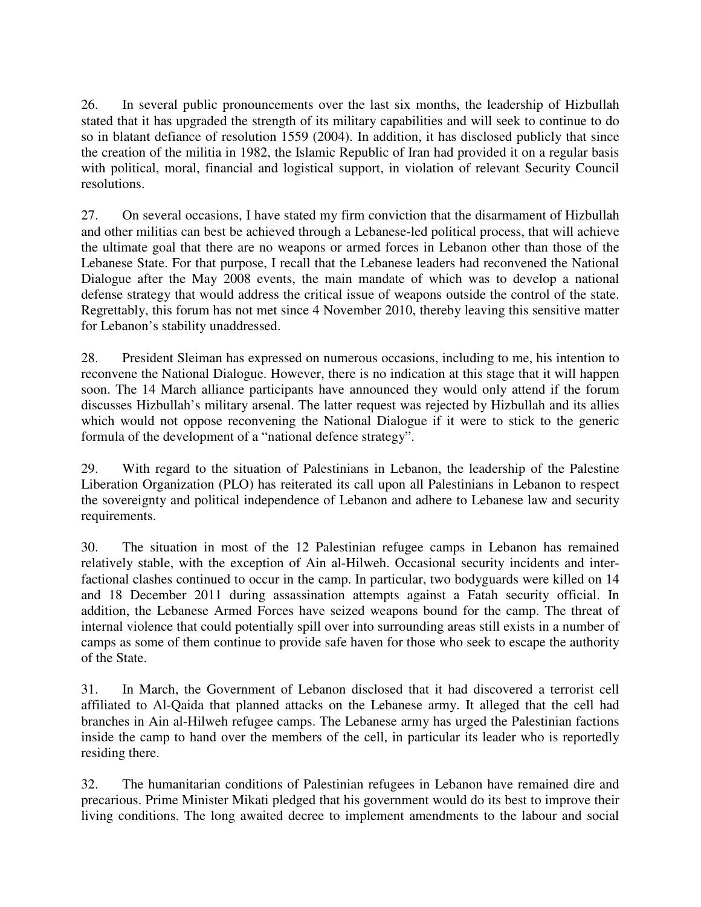26. In several public pronouncements over the last six months, the leadership of Hizbullah stated that it has upgraded the strength of its military capabilities and will seek to continue to do so in blatant defiance of resolution 1559 (2004). In addition, it has disclosed publicly that since the creation of the militia in 1982, the Islamic Republic of Iran had provided it on a regular basis with political, moral, financial and logistical support, in violation of relevant Security Council resolutions.

27. On several occasions, I have stated my firm conviction that the disarmament of Hizbullah and other militias can best be achieved through a Lebanese-led political process, that will achieve the ultimate goal that there are no weapons or armed forces in Lebanon other than those of the Lebanese State. For that purpose, I recall that the Lebanese leaders had reconvened the National Dialogue after the May 2008 events, the main mandate of which was to develop a national defense strategy that would address the critical issue of weapons outside the control of the state. Regrettably, this forum has not met since 4 November 2010, thereby leaving this sensitive matter for Lebanon's stability unaddressed.

28. President Sleiman has expressed on numerous occasions, including to me, his intention to reconvene the National Dialogue. However, there is no indication at this stage that it will happen soon. The 14 March alliance participants have announced they would only attend if the forum discusses Hizbullah's military arsenal. The latter request was rejected by Hizbullah and its allies which would not oppose reconvening the National Dialogue if it were to stick to the generic formula of the development of a "national defence strategy".

29. With regard to the situation of Palestinians in Lebanon, the leadership of the Palestine Liberation Organization (PLO) has reiterated its call upon all Palestinians in Lebanon to respect the sovereignty and political independence of Lebanon and adhere to Lebanese law and security requirements.

30. The situation in most of the 12 Palestinian refugee camps in Lebanon has remained relatively stable, with the exception of Ain al-Hilweh. Occasional security incidents and interfactional clashes continued to occur in the camp. In particular, two bodyguards were killed on 14 and 18 December 2011 during assassination attempts against a Fatah security official. In addition, the Lebanese Armed Forces have seized weapons bound for the camp. The threat of internal violence that could potentially spill over into surrounding areas still exists in a number of camps as some of them continue to provide safe haven for those who seek to escape the authority of the State.

31. In March, the Government of Lebanon disclosed that it had discovered a terrorist cell affiliated to Al-Qaida that planned attacks on the Lebanese army. It alleged that the cell had branches in Ain al-Hilweh refugee camps. The Lebanese army has urged the Palestinian factions inside the camp to hand over the members of the cell, in particular its leader who is reportedly residing there.

32. The humanitarian conditions of Palestinian refugees in Lebanon have remained dire and precarious. Prime Minister Mikati pledged that his government would do its best to improve their living conditions. The long awaited decree to implement amendments to the labour and social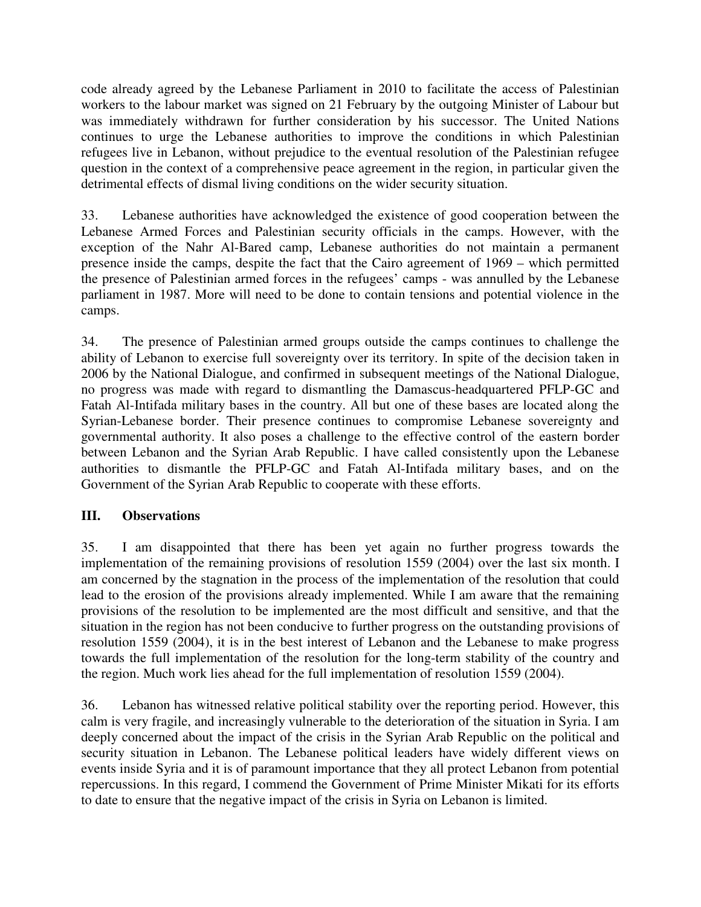code already agreed by the Lebanese Parliament in 2010 to facilitate the access of Palestinian workers to the labour market was signed on 21 February by the outgoing Minister of Labour but was immediately withdrawn for further consideration by his successor. The United Nations continues to urge the Lebanese authorities to improve the conditions in which Palestinian refugees live in Lebanon, without prejudice to the eventual resolution of the Palestinian refugee question in the context of a comprehensive peace agreement in the region, in particular given the detrimental effects of dismal living conditions on the wider security situation.

33. Lebanese authorities have acknowledged the existence of good cooperation between the Lebanese Armed Forces and Palestinian security officials in the camps. However, with the exception of the Nahr Al-Bared camp, Lebanese authorities do not maintain a permanent presence inside the camps, despite the fact that the Cairo agreement of 1969 – which permitted the presence of Palestinian armed forces in the refugees' camps - was annulled by the Lebanese parliament in 1987. More will need to be done to contain tensions and potential violence in the camps.

34. The presence of Palestinian armed groups outside the camps continues to challenge the ability of Lebanon to exercise full sovereignty over its territory. In spite of the decision taken in 2006 by the National Dialogue, and confirmed in subsequent meetings of the National Dialogue, no progress was made with regard to dismantling the Damascus-headquartered PFLP-GC and Fatah Al-Intifada military bases in the country. All but one of these bases are located along the Syrian-Lebanese border. Their presence continues to compromise Lebanese sovereignty and governmental authority. It also poses a challenge to the effective control of the eastern border between Lebanon and the Syrian Arab Republic. I have called consistently upon the Lebanese authorities to dismantle the PFLP-GC and Fatah Al-Intifada military bases, and on the Government of the Syrian Arab Republic to cooperate with these efforts.

#### **III. Observations**

35. I am disappointed that there has been yet again no further progress towards the implementation of the remaining provisions of resolution 1559 (2004) over the last six month. I am concerned by the stagnation in the process of the implementation of the resolution that could lead to the erosion of the provisions already implemented. While I am aware that the remaining provisions of the resolution to be implemented are the most difficult and sensitive, and that the situation in the region has not been conducive to further progress on the outstanding provisions of resolution 1559 (2004), it is in the best interest of Lebanon and the Lebanese to make progress towards the full implementation of the resolution for the long-term stability of the country and the region. Much work lies ahead for the full implementation of resolution 1559 (2004).

36. Lebanon has witnessed relative political stability over the reporting period. However, this calm is very fragile, and increasingly vulnerable to the deterioration of the situation in Syria. I am deeply concerned about the impact of the crisis in the Syrian Arab Republic on the political and security situation in Lebanon. The Lebanese political leaders have widely different views on events inside Syria and it is of paramount importance that they all protect Lebanon from potential repercussions. In this regard, I commend the Government of Prime Minister Mikati for its efforts to date to ensure that the negative impact of the crisis in Syria on Lebanon is limited.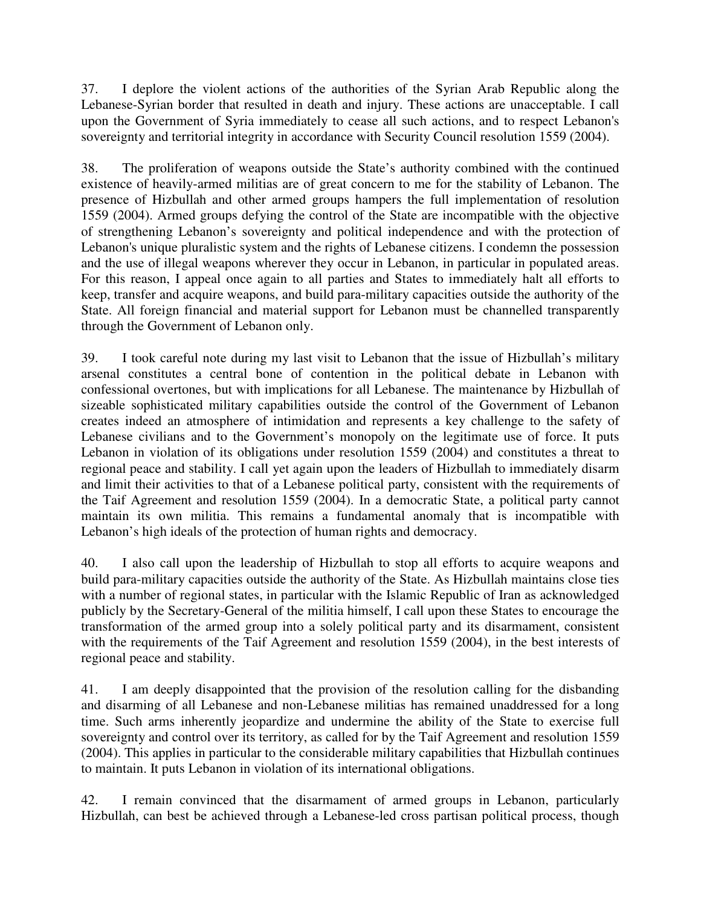37. I deplore the violent actions of the authorities of the Syrian Arab Republic along the Lebanese-Syrian border that resulted in death and injury. These actions are unacceptable. I call upon the Government of Syria immediately to cease all such actions, and to respect Lebanon's sovereignty and territorial integrity in accordance with Security Council resolution 1559 (2004).

38. The proliferation of weapons outside the State's authority combined with the continued existence of heavily-armed militias are of great concern to me for the stability of Lebanon. The presence of Hizbullah and other armed groups hampers the full implementation of resolution 1559 (2004). Armed groups defying the control of the State are incompatible with the objective of strengthening Lebanon's sovereignty and political independence and with the protection of Lebanon's unique pluralistic system and the rights of Lebanese citizens. I condemn the possession and the use of illegal weapons wherever they occur in Lebanon, in particular in populated areas. For this reason, I appeal once again to all parties and States to immediately halt all efforts to keep, transfer and acquire weapons, and build para-military capacities outside the authority of the State. All foreign financial and material support for Lebanon must be channelled transparently through the Government of Lebanon only.

39. I took careful note during my last visit to Lebanon that the issue of Hizbullah's military arsenal constitutes a central bone of contention in the political debate in Lebanon with confessional overtones, but with implications for all Lebanese. The maintenance by Hizbullah of sizeable sophisticated military capabilities outside the control of the Government of Lebanon creates indeed an atmosphere of intimidation and represents a key challenge to the safety of Lebanese civilians and to the Government's monopoly on the legitimate use of force. It puts Lebanon in violation of its obligations under resolution 1559 (2004) and constitutes a threat to regional peace and stability. I call yet again upon the leaders of Hizbullah to immediately disarm and limit their activities to that of a Lebanese political party, consistent with the requirements of the Taif Agreement and resolution 1559 (2004). In a democratic State, a political party cannot maintain its own militia. This remains a fundamental anomaly that is incompatible with Lebanon's high ideals of the protection of human rights and democracy.

40. I also call upon the leadership of Hizbullah to stop all efforts to acquire weapons and build para-military capacities outside the authority of the State. As Hizbullah maintains close ties with a number of regional states, in particular with the Islamic Republic of Iran as acknowledged publicly by the Secretary-General of the militia himself, I call upon these States to encourage the transformation of the armed group into a solely political party and its disarmament, consistent with the requirements of the Taif Agreement and resolution 1559 (2004), in the best interests of regional peace and stability.

41. I am deeply disappointed that the provision of the resolution calling for the disbanding and disarming of all Lebanese and non-Lebanese militias has remained unaddressed for a long time. Such arms inherently jeopardize and undermine the ability of the State to exercise full sovereignty and control over its territory, as called for by the Taif Agreement and resolution 1559 (2004). This applies in particular to the considerable military capabilities that Hizbullah continues to maintain. It puts Lebanon in violation of its international obligations.

42. I remain convinced that the disarmament of armed groups in Lebanon, particularly Hizbullah, can best be achieved through a Lebanese-led cross partisan political process, though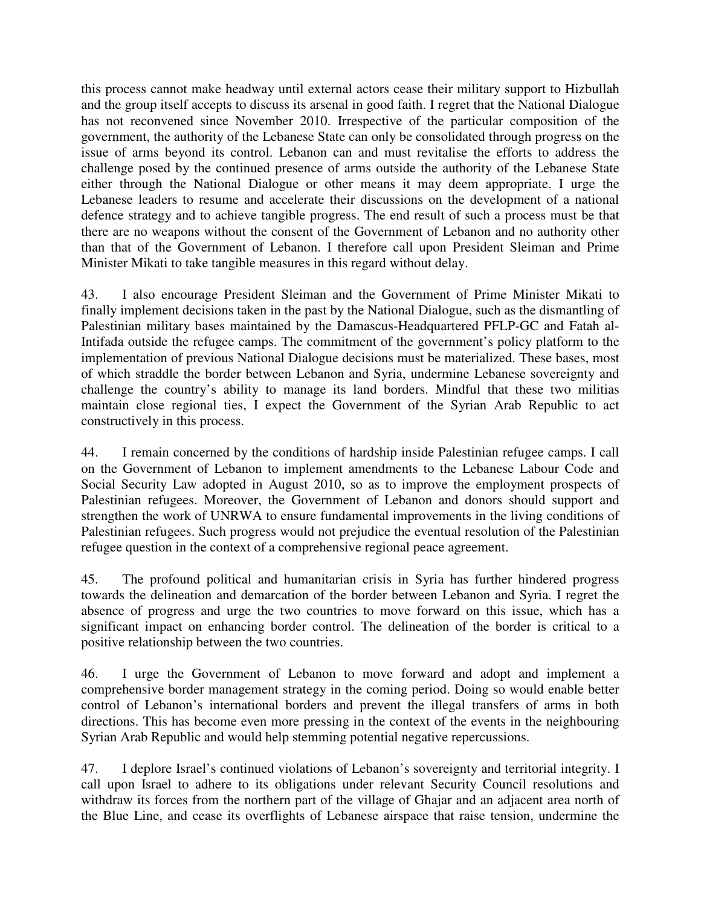this process cannot make headway until external actors cease their military support to Hizbullah and the group itself accepts to discuss its arsenal in good faith. I regret that the National Dialogue has not reconvened since November 2010. Irrespective of the particular composition of the government, the authority of the Lebanese State can only be consolidated through progress on the issue of arms beyond its control. Lebanon can and must revitalise the efforts to address the challenge posed by the continued presence of arms outside the authority of the Lebanese State either through the National Dialogue or other means it may deem appropriate. I urge the Lebanese leaders to resume and accelerate their discussions on the development of a national defence strategy and to achieve tangible progress. The end result of such a process must be that there are no weapons without the consent of the Government of Lebanon and no authority other than that of the Government of Lebanon. I therefore call upon President Sleiman and Prime Minister Mikati to take tangible measures in this regard without delay.

43. I also encourage President Sleiman and the Government of Prime Minister Mikati to finally implement decisions taken in the past by the National Dialogue, such as the dismantling of Palestinian military bases maintained by the Damascus-Headquartered PFLP-GC and Fatah al-Intifada outside the refugee camps. The commitment of the government's policy platform to the implementation of previous National Dialogue decisions must be materialized. These bases, most of which straddle the border between Lebanon and Syria, undermine Lebanese sovereignty and challenge the country's ability to manage its land borders. Mindful that these two militias maintain close regional ties, I expect the Government of the Syrian Arab Republic to act constructively in this process.

44. I remain concerned by the conditions of hardship inside Palestinian refugee camps. I call on the Government of Lebanon to implement amendments to the Lebanese Labour Code and Social Security Law adopted in August 2010, so as to improve the employment prospects of Palestinian refugees. Moreover, the Government of Lebanon and donors should support and strengthen the work of UNRWA to ensure fundamental improvements in the living conditions of Palestinian refugees. Such progress would not prejudice the eventual resolution of the Palestinian refugee question in the context of a comprehensive regional peace agreement.

45. The profound political and humanitarian crisis in Syria has further hindered progress towards the delineation and demarcation of the border between Lebanon and Syria. I regret the absence of progress and urge the two countries to move forward on this issue, which has a significant impact on enhancing border control. The delineation of the border is critical to a positive relationship between the two countries.

46. I urge the Government of Lebanon to move forward and adopt and implement a comprehensive border management strategy in the coming period. Doing so would enable better control of Lebanon's international borders and prevent the illegal transfers of arms in both directions. This has become even more pressing in the context of the events in the neighbouring Syrian Arab Republic and would help stemming potential negative repercussions.

47. I deplore Israel's continued violations of Lebanon's sovereignty and territorial integrity. I call upon Israel to adhere to its obligations under relevant Security Council resolutions and withdraw its forces from the northern part of the village of Ghajar and an adjacent area north of the Blue Line, and cease its overflights of Lebanese airspace that raise tension, undermine the